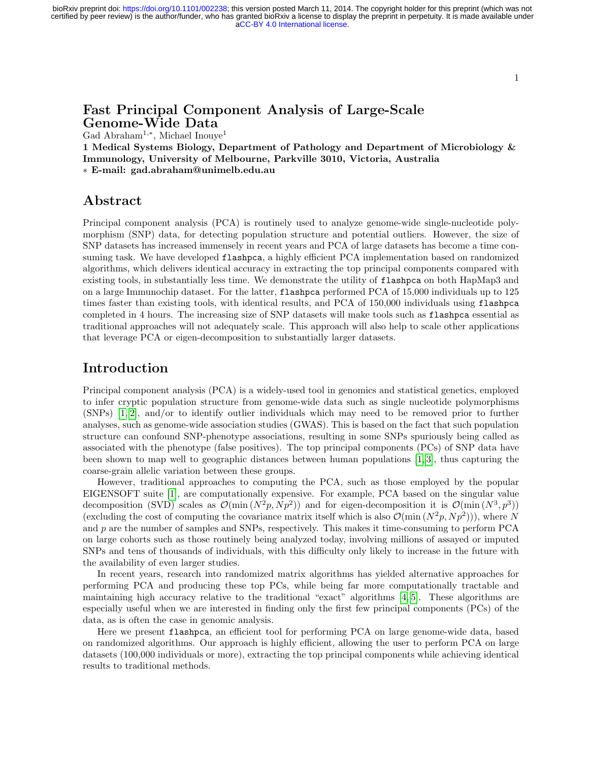1

# Fast Principal Component Analysis of Large-Scale Genome-Wide Data

Gad Abraham<sup>1</sup>,<sup>∗</sup> , Michael Inouye<sup>1</sup>

1 Medical Systems Biology, Department of Pathology and Department of Microbiology & Immunology, University of Melbourne, Parkville 3010, Victoria, Australia ∗ E-mail: gad.abraham@unimelb.edu.au

### Abstract

Principal component analysis (PCA) is routinely used to analyze genome-wide single-nucleotide polymorphism (SNP) data, for detecting population structure and potential outliers. However, the size of SNP datasets has increased immensely in recent years and PCA of large datasets has become a time consuming task. We have developed flashpca, a highly efficient PCA implementation based on randomized algorithms, which delivers identical accuracy in extracting the top principal components compared with existing tools, in substantially less time. We demonstrate the utility of flashpca on both HapMap3 and on a large Immunochip dataset. For the latter, flashpca performed PCA of 15,000 individuals up to 125 times faster than existing tools, with identical results, and PCA of 150,000 individuals using flashpca completed in 4 hours. The increasing size of SNP datasets will make tools such as flashpca essential as traditional approaches will not adequately scale. This approach will also help to scale other applications that leverage PCA or eigen-decomposition to substantially larger datasets.

### Introduction

Principal component analysis (PCA) is a widely-used tool in genomics and statistical genetics, employed to infer cryptic population structure from genome-wide data such as single nucleotide polymorphisms (SNPs) [\[1,](#page-5-0) [2\]](#page-5-1), and/or to identify outlier individuals which may need to be removed prior to further analyses, such as genome-wide association studies (GWAS). This is based on the fact that such population structure can confound SNP-phenotype associations, resulting in some SNPs spuriously being called as associated with the phenotype (false positives). The top principal components (PCs) of SNP data have been shown to map well to geographic distances between human populations  $[1, 3]$  $[1, 3]$ , thus capturing the coarse-grain allelic variation between these groups.

However, traditional approaches to computing the PCA, such as those employed by the popular EIGENSOFT suite [\[1\]](#page-5-0), are computationally expensive. For example, PCA based on the singular value decomposition (SVD) scales as  $\mathcal{O}(\min(N^2p, Np^2))$  and for eigen-decomposition it is  $\mathcal{O}(\min(N^3, p^3))$ (excluding the cost of computing the covariance matrix itself which is also  $\mathcal{O}(\min(N^2p, Np^2)))$ , where N and  $p$  are the number of samples and SNPs, respectively. This makes it time-consuming to perform PCA on large cohorts such as those routinely being analyzed today, involving millions of assayed or imputed SNPs and tens of thousands of individuals, with this difficulty only likely to increase in the future with the availability of even larger studies.

In recent years, research into randomized matrix algorithms has yielded alternative approaches for performing PCA and producing these top PCs, while being far more computationally tractable and maintaining high accuracy relative to the traditional "exact" algorithms [\[4,](#page-5-3) [5\]](#page-5-4). These algorithms are especially useful when we are interested in finding only the first few principal components (PCs) of the data, as is often the case in genomic analysis.

Here we present flashpca, an efficient tool for performing PCA on large genome-wide data, based on randomized algorithms. Our approach is highly efficient, allowing the user to perform PCA on large datasets (100,000 individuals or more), extracting the top principal components while achieving identical results to traditional methods.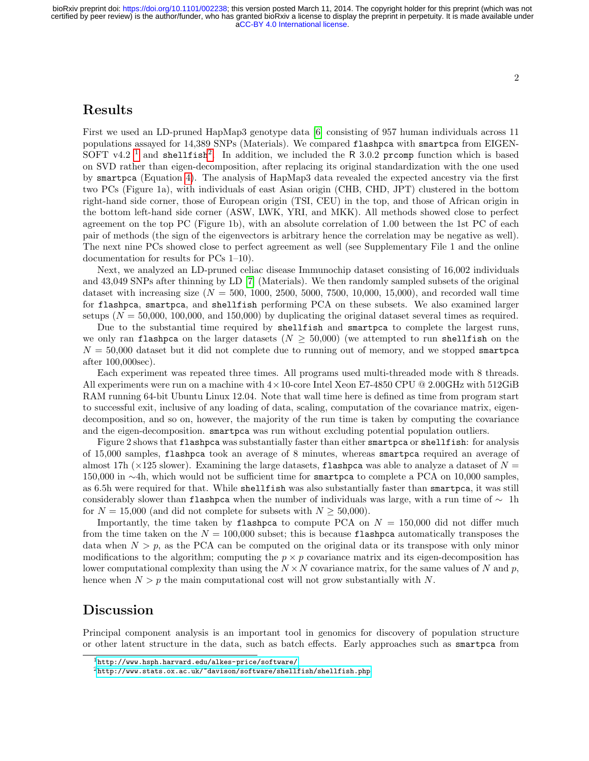# Results

First we used an LD-pruned HapMap3 genotype data [\[6\]](#page-6-0) consisting of 957 human individuals across 11 populations assayed for 14,389 SNPs (Materials). We compared flashpca with smartpca from EIGEN-SOFT v4.2<sup>[1](#page-1-0)</sup> and shellfish<sup>[2](#page-1-1)</sup>. In addition, we included the R 3.0.2 prcomp function which is based on SVD rather than eigen-decomposition, after replacing its original standardization with the one used by smartpca (Equation [4\)](#page-3-0). The analysis of HapMap3 data revealed the expected ancestry via the first two PCs (Figure 1a), with individuals of east Asian origin (CHB, CHD, JPT) clustered in the bottom right-hand side corner, those of European origin (TSI, CEU) in the top, and those of African origin in the bottom left-hand side corner (ASW, LWK, YRI, and MKK). All methods showed close to perfect agreement on the top PC (Figure 1b), with an absolute correlation of 1.00 between the 1st PC of each pair of methods (the sign of the eigenvectors is arbitrary hence the correlation may be negative as well). The next nine PCs showed close to perfect agreement as well (see Supplementary File 1 and the online documentation for results for PCs 1–10).

Next, we analyzed an LD-pruned celiac disease Immunochip dataset consisting of 16,002 individuals and 43,049 SNPs after thinning by LD [\[7\]](#page-6-1) (Materials). We then randomly sampled subsets of the original dataset with increasing size  $(N = 500, 1000, 2500, 5000, 7500, 10,000, 15,000)$ , and recorded wall time for flashpca, smartpca, and shellfish performing PCA on these subsets. We also examined larger setups  $(N = 50,000, 100,000,$  and 150,000) by duplicating the original dataset several times as required.

Due to the substantial time required by shellfish and smartpca to complete the largest runs, we only ran flashpca on the larger datasets ( $N \geq 50,000$ ) (we attempted to run shellfish on the  $N = 50,000$  dataset but it did not complete due to running out of memory, and we stopped smartpca after 100,000sec).

Each experiment was repeated three times. All programs used multi-threaded mode with 8 threads. All experiments were run on a machine with  $4 \times 10$ -core Intel Xeon E7-4850 CPU @ 2.00GHz with 512GiB RAM running 64-bit Ubuntu Linux 12.04. Note that wall time here is defined as time from program start to successful exit, inclusive of any loading of data, scaling, computation of the covariance matrix, eigendecomposition, and so on, however, the majority of the run time is taken by computing the covariance and the eigen-decomposition. smartpca was run without excluding potential population outliers.

Figure 2 shows that flashpca was substantially faster than either smartpca or shellfish: for analysis of 15,000 samples, flashpca took an average of 8 minutes, whereas smartpca required an average of almost 17h ( $\times$ 125 slower). Examining the large datasets, flashpca was able to analyze a dataset of  $N =$ 150,000 in ∼4h, which would not be sufficient time for smartpca to complete a PCA on 10,000 samples, as 6.5h were required for that. While shellfish was also substantially faster than smartpca, it was still considerably slower than flashpca when the number of individuals was large, with a run time of  $\sim$  1h for  $N = 15,000$  (and did not complete for subsets with  $N \geq 50,000$ ).

Importantly, the time taken by flashpca to compute PCA on  $N = 150,000$  did not differ much from the time taken on the  $N = 100,000$  subset; this is because flashpca automatically transposes the data when  $N > p$ , as the PCA can be computed on the original data or its transpose with only minor modifications to the algorithm; computing the  $p \times p$  covariance matrix and its eigen-decomposition has lower computational complexity than using the  $N \times N$  covariance matrix, for the same values of N and p, hence when  $N > p$  the main computational cost will not grow substantially with N.

### Discussion

Principal component analysis is an important tool in genomics for discovery of population structure or other latent structure in the data, such as batch effects. Early approaches such as smartpca from

<span id="page-1-0"></span><sup>1</sup><http://www.hsph.harvard.edu/alkes-price/software/>

<span id="page-1-1"></span><sup>2</sup><http://www.stats.ox.ac.uk/~davison/software/shellfish/shellfish.php>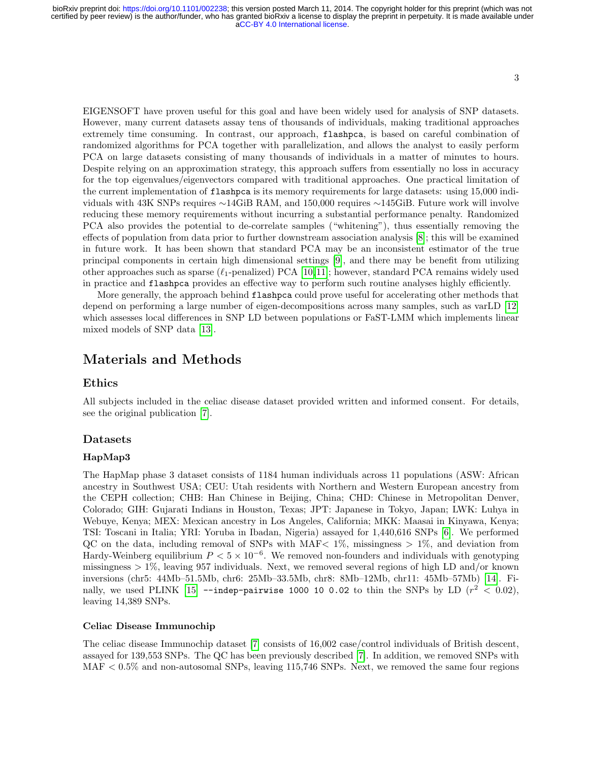3

EIGENSOFT have proven useful for this goal and have been widely used for analysis of SNP datasets. However, many current datasets assay tens of thousands of individuals, making traditional approaches extremely time consuming. In contrast, our approach, flashpca, is based on careful combination of randomized algorithms for PCA together with parallelization, and allows the analyst to easily perform PCA on large datasets consisting of many thousands of individuals in a matter of minutes to hours. Despite relying on an approximation strategy, this approach suffers from essentially no loss in accuracy for the top eigenvalues/eigenvectors compared with traditional approaches. One practical limitation of the current implementation of flashpca is its memory requirements for large datasets: using 15,000 individuals with 43K SNPs requires ∼14GiB RAM, and 150,000 requires ∼145GiB. Future work will involve reducing these memory requirements without incurring a substantial performance penalty. Randomized PCA also provides the potential to de-correlate samples ("whitening"), thus essentially removing the effects of population from data prior to further downstream association analysis [\[8\]](#page-6-2); this will be examined in future work. It has been shown that standard PCA may be an inconsistent estimator of the true principal components in certain high dimensional settings [\[9\]](#page-6-3), and there may be benefit from utilizing other approaches such as sparse  $(\ell_1$ -penalized) PCA [\[10,](#page-6-4)[11\]](#page-6-5); however, standard PCA remains widely used in practice and flashpca provides an effective way to perform such routine analyses highly efficiently.

More generally, the approach behind flashpca could prove useful for accelerating other methods that depend on performing a large number of eigen-decompositions across many samples, such as varLD [\[12\]](#page-6-6) which assesses local differences in SNP LD between populations or FaST-LMM which implements linear mixed models of SNP data [\[13\]](#page-6-7).

# Materials and Methods

### Ethics

All subjects included in the celiac disease dataset provided written and informed consent. For details, see the original publication [\[7\]](#page-6-1).

### Datasets

#### HapMap3

The HapMap phase 3 dataset consists of 1184 human individuals across 11 populations (ASW: African ancestry in Southwest USA; CEU: Utah residents with Northern and Western European ancestry from the CEPH collection; CHB: Han Chinese in Beijing, China; CHD: Chinese in Metropolitan Denver, Colorado; GIH: Gujarati Indians in Houston, Texas; JPT: Japanese in Tokyo, Japan; LWK: Luhya in Webuye, Kenya; MEX: Mexican ancestry in Los Angeles, California; MKK: Maasai in Kinyawa, Kenya; TSI: Toscani in Italia; YRI: Yoruba in Ibadan, Nigeria) assayed for 1,440,616 SNPs [\[6\]](#page-6-0). We performed QC on the data, including removal of SNPs with MAF $< 1\%$ , missingness  $> 1\%$ , and deviation from Hardy-Weinberg equilibrium  $P < 5 \times 10^{-6}$ . We removed non-founders and individuals with genotyping missingness  $> 1\%$ , leaving 957 individuals. Next, we removed several regions of high LD and/or known inversions (chr5: 44Mb–51.5Mb, chr6: 25Mb–33.5Mb, chr8: 8Mb–12Mb, chr11: 45Mb–57Mb) [\[14\]](#page-6-8). Fi-nally, we used PLINK [\[15\]](#page-6-9) --indep-pairwise 1000 10 0.02 to thin the SNPs by LD  $(r^2 \, < \, 0.02)$ , leaving 14,389 SNPs.

#### Celiac Disease Immunochip

The celiac disease Immunochip dataset [\[7\]](#page-6-1) consists of 16,002 case/control individuals of British descent, assayed for 139,553 SNPs. The QC has been previously described [\[7\]](#page-6-1). In addition, we removed SNPs with  $MAF < 0.5\%$  and non-autosomal SNPs, leaving 115,746 SNPs. Next, we removed the same four regions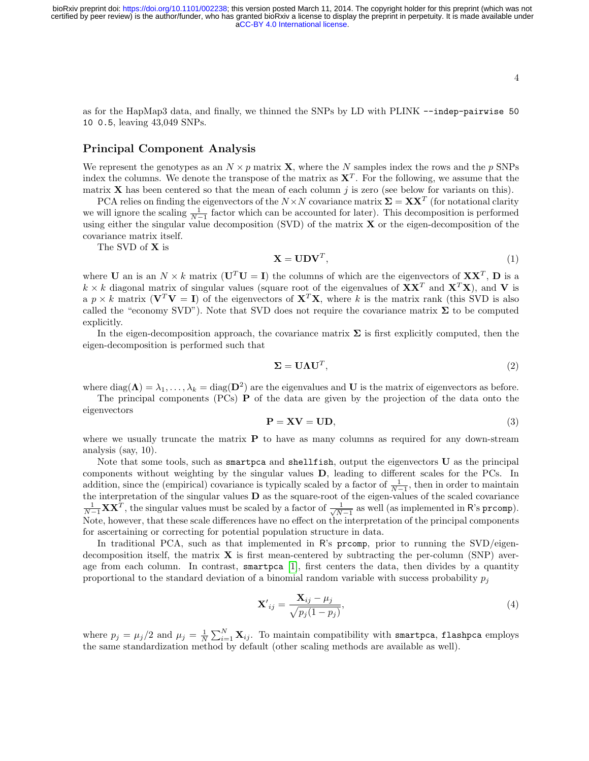as for the HapMap3 data, and finally, we thinned the SNPs by LD with PLINK --indep-pairwise 50 10 0.5, leaving 43,049 SNPs.

### Principal Component Analysis

We represent the genotypes as an  $N \times p$  matrix **X**, where the N samples index the rows and the p SNPs index the columns. We denote the transpose of the matrix as  $X<sup>T</sup>$ . For the following, we assume that the matrix **X** has been centered so that the mean of each column  $j$  is zero (see below for variants on this).

PCA relies on finding the eigenvectors of the  $N \times N$  covariance matrix  $\Sigma = XX^T$  (for notational clarity we will ignore the scaling  $\frac{1}{N-1}$  factor which can be accounted for later). This decomposition is performed using either the singular value decomposition (SVD) of the matrix  $\bf{X}$  or the eigen-decomposition of the covariance matrix itself.

The SVD of X is

$$
\mathbf{X} = \mathbf{U} \mathbf{D} \mathbf{V}^T,\tag{1}
$$

where U an is an  $N \times k$  matrix  $(\mathbf{U}^T \mathbf{U} = \mathbf{I})$  the columns of which are the eigenvectors of  $\mathbf{X} \mathbf{X}^T$ ,  $\mathbf{D}$  is a  $k \times k$  diagonal matrix of singular values (square root of the eigenvalues of  $\mathbf{X}\mathbf{X}^T$  and  $\mathbf{X}^T\mathbf{X}$ ), and V is a  $p \times k$  matrix ( $V^T V = I$ ) of the eigenvectors of  $X^T X$ , where k is the matrix rank (this SVD is also called the "economy SVD"). Note that SVD does not require the covariance matrix  $\Sigma$  to be computed explicitly.

In the eigen-decomposition approach, the covariance matrix  $\Sigma$  is first explicitly computed, then the eigen-decomposition is performed such that

<span id="page-3-1"></span>
$$
\Sigma = \mathbf{U}\Lambda\mathbf{U}^T,\tag{2}
$$

where  $diag(\Lambda) = \lambda_1, \ldots, \lambda_k = diag(D^2)$  are the eigenvalues and U is the matrix of eigenvectors as before.

The principal components (PCs) P of the data are given by the projection of the data onto the eigenvectors

$$
P = XV = UD,
$$
 (3)

where we usually truncate the matrix  $P$  to have as many columns as required for any down-stream analysis (say, 10).

Note that some tools, such as smartpca and shellfish, output the eigenvectors  $U$  as the principal components without weighting by the singular values D, leading to different scales for the PCs. In addition, since the (empirical) covariance is typically scaled by a factor of  $\frac{1}{N-1}$ , then in order to maintain the interpretation of the singular values **D** as the square-root of the eigen-values of the scaled covariance  $\frac{1}{N-1}$ **XX<sup>T</sup>**, the singular values must be scaled by a factor of  $\frac{1}{\sqrt{N-1}}$  as well (as implemented in  $\frac{1}{N-1}$  as well (as implemented in R's prcomp). Note, however, that these scale differences have no effect on the interpretation of the principal components for ascertaining or correcting for potential population structure in data.

In traditional PCA, such as that implemented in R's prcomp, prior to running the SVD/eigendecomposition itself, the matrix  $\bf{X}$  is first mean-centered by subtracting the per-column (SNP) average from each column. In contrast, smartpca  $[1]$ , first centers the data, then divides by a quantity proportional to the standard deviation of a binomial random variable with success probability  $p_i$ 

<span id="page-3-0"></span>
$$
\mathbf{X'}_{ij} = \frac{\mathbf{X}_{ij} - \mu_j}{\sqrt{p_j(1 - p_j)}},\tag{4}
$$

where  $p_j = \mu_j/2$  and  $\mu_j = \frac{1}{N} \sum_{i=1}^N \mathbf{X}_{ij}$ . To maintain compatibility with smartpca, flashpca employs the same standardization method by default (other scaling methods are available as well).

4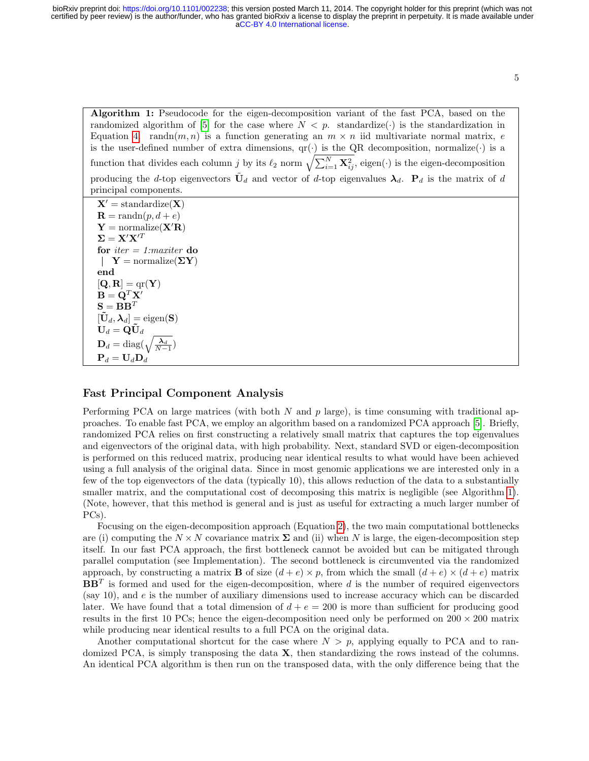Algorithm 1: Pseudocode for the eigen-decomposition variant of the fast PCA, based on the randomized algorithm of [\[5\]](#page-5-4) for the case where  $N < p$ . standardize( $\cdot$ ) is the standardization in Equation [4.](#page-3-0) randn $(m, n)$  is a function generating an  $m \times n$  iid multivariate normal matrix, e is the user-defined number of extra dimensions,  $qr(\cdot)$  is the QR decomposition, normalize( $\cdot$ ) is a function that divides each column j by its  $\ell_2$  norm  $\sqrt{\sum_{i=1}^N \mathbf{X}_{ij}^2}$ , eigen( $\cdot$ ) is the eigen-decomposition producing the d-top eigenvectors  $\tilde{\mathbf{U}}_d$  and vector of d-top eigenvalues  $\boldsymbol{\lambda}_d$ .  $\mathbf{P}_d$  is the matrix of d principal components.

 $X' =$ standardize $(X)$  $\mathbf{R} = \text{randn}(p, d + e)$  $Y = \text{normalize}(X'R)$  $\Sigma = \mathbf{X}'\mathbf{X}'^T$ for *iter*  $= 1$ *: maxiter* do  $\mathbb{R}$  $Y =$  normalize( $\Sigma Y$ ) end  $[\mathbf{Q}, \mathbf{R}] = \text{qr}(\mathbf{Y})$  $\mathbf{B} = \mathbf{Q}^T \mathbf{X}$  $\mathbf{S} = \mathbf{B} \mathbf{B}^T$  $[\tilde{\mathbf{U}}_d, \boldsymbol{\lambda}_d] = \text{eigen}(\mathbf{S})$  $\mathbf{U}_d = \dot{\mathbf{Q}} \tilde{\mathbf{U}}_d$  $\mathbf{D}_d = \text{diag}(\sqrt{\frac{\boldsymbol{\lambda}_d}{N-1}})$  ${\bf P}_d = {\bf U}_d {\bf D}_d$ 

### <span id="page-4-0"></span>Fast Principal Component Analysis

Performing PCA on large matrices (with both  $N$  and  $p$  large), is time consuming with traditional approaches. To enable fast PCA, we employ an algorithm based on a randomized PCA approach [\[5\]](#page-5-4). Briefly, randomized PCA relies on first constructing a relatively small matrix that captures the top eigenvalues and eigenvectors of the original data, with high probability. Next, standard SVD or eigen-decomposition is performed on this reduced matrix, producing near identical results to what would have been achieved using a full analysis of the original data. Since in most genomic applications we are interested only in a few of the top eigenvectors of the data (typically 10), this allows reduction of the data to a substantially smaller matrix, and the computational cost of decomposing this matrix is negligible (see Algorithm [1\)](#page-4-0). (Note, however, that this method is general and is just as useful for extracting a much larger number of PCs).

Focusing on the eigen-decomposition approach (Equation [2\)](#page-3-1), the two main computational bottlenecks are (i) computing the  $N \times N$  covariance matrix  $\Sigma$  and (ii) when N is large, the eigen-decomposition step itself. In our fast PCA approach, the first bottleneck cannot be avoided but can be mitigated through parallel computation (see Implementation). The second bottleneck is circumvented via the randomized approach, by constructing a matrix **B** of size  $(d+e) \times p$ , from which the small  $(d+e) \times (d+e)$  matrix  $BB<sup>T</sup>$  is formed and used for the eigen-decomposition, where d is the number of required eigenvectors (say 10), and e is the number of auxiliary dimensions used to increase accuracy which can be discarded later. We have found that a total dimension of  $d + e = 200$  is more than sufficient for producing good results in the first 10 PCs; hence the eigen-decomposition need only be performed on  $200 \times 200$  matrix while producing near identical results to a full PCA on the original data.

Another computational shortcut for the case where  $N > p$ , applying equally to PCA and to randomized PCA, is simply transposing the data X, then standardizing the rows instead of the columns. An identical PCA algorithm is then run on the transposed data, with the only difference being that the

5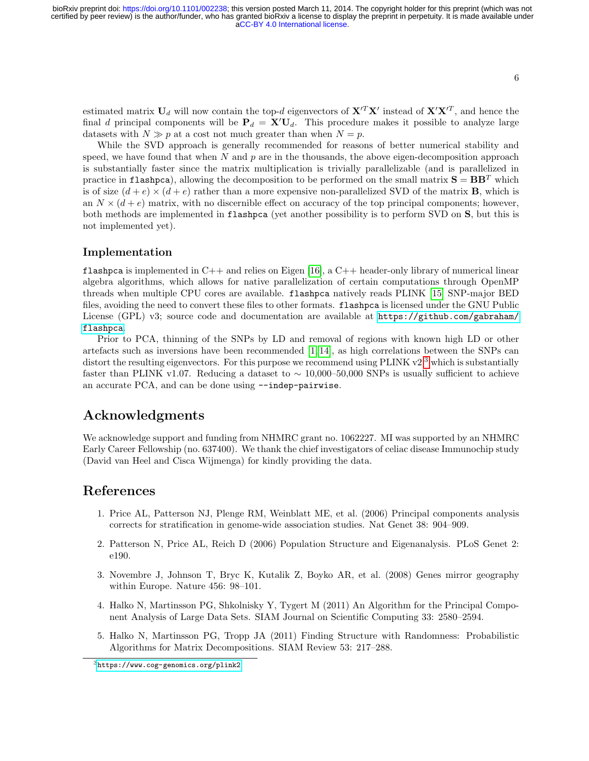estimated matrix  $U_d$  will now contain the top-d eigenvectors of  $X'^T X'$  instead of  $X' X'^T$ , and hence the final d principal components will be  $P_d = X'U_d$ . This procedure makes it possible to analyze large datasets with  $N \gg p$  at a cost not much greater than when  $N = p$ .

While the SVD approach is generally recommended for reasons of better numerical stability and speed, we have found that when N and  $p$  are in the thousands, the above eigen-decomposition approach is substantially faster since the matrix multiplication is trivially parallelizable (and is parallelized in practice in flashpca), allowing the decomposition to be performed on the small matrix  $S = BB<sup>T</sup>$  which is of size  $(d+e) \times (d+e)$  rather than a more expensive non-parallelized SVD of the matrix **B**, which is an  $N \times (d + e)$  matrix, with no discernible effect on accuracy of the top principal components; however, both methods are implemented in flashpca (yet another possibility is to perform SVD on S, but this is not implemented yet).

### Implementation

**flashpca** is implemented in  $C++$  and relies on Eigen [\[16\]](#page-6-10), a  $C++$  header-only library of numerical linear algebra algorithms, which allows for native parallelization of certain computations through OpenMP threads when multiple CPU cores are available. flashpca natively reads PLINK [\[15\]](#page-6-9) SNP-major BED files, avoiding the need to convert these files to other formats. flashpca is licensed under the GNU Public License (GPL) v3; source code and documentation are available at [https://github.com/gabraham/](https://github.com/gabraham/flashpca) [flashpca](https://github.com/gabraham/flashpca).

Prior to PCA, thinning of the SNPs by LD and removal of regions with known high LD or other artefacts such as inversions have been recommended  $[1, 14]$  $[1, 14]$ , as high correlations between the SNPs can distort the resulting eigenvectors. For this purpose we recommend using PLINK  $v^2$  which is substantially faster than PLINK v1.07. Reducing a dataset to  $\sim 10,000-50,000$  SNPs is usually sufficient to achieve an accurate PCA, and can be done using --indep-pairwise.

# Acknowledgments

We acknowledge support and funding from NHMRC grant no. 1062227. MI was supported by an NHMRC Early Career Fellowship (no. 637400). We thank the chief investigators of celiac disease Immunochip study (David van Heel and Cisca Wijmenga) for kindly providing the data.

### <span id="page-5-0"></span>References

- 1. Price AL, Patterson NJ, Plenge RM, Weinblatt ME, et al. (2006) Principal components analysis corrects for stratification in genome-wide association studies. Nat Genet 38: 904–909.
- <span id="page-5-1"></span>2. Patterson N, Price AL, Reich D (2006) Population Structure and Eigenanalysis. PLoS Genet 2: e190.
- <span id="page-5-2"></span>3. Novembre J, Johnson T, Bryc K, Kutalik Z, Boyko AR, et al. (2008) Genes mirror geography within Europe. Nature 456: 98–101.
- <span id="page-5-3"></span>4. Halko N, Martinsson PG, Shkolnisky Y, Tygert M (2011) An Algorithm for the Principal Component Analysis of Large Data Sets. SIAM Journal on Scientific Computing 33: 2580–2594.
- <span id="page-5-4"></span>5. Halko N, Martinsson PG, Tropp JA (2011) Finding Structure with Randomness: Probabilistic Algorithms for Matrix Decompositions. SIAM Review 53: 217–288.

<span id="page-5-5"></span> $3$ <https://www.cog-genomics.org/plink2>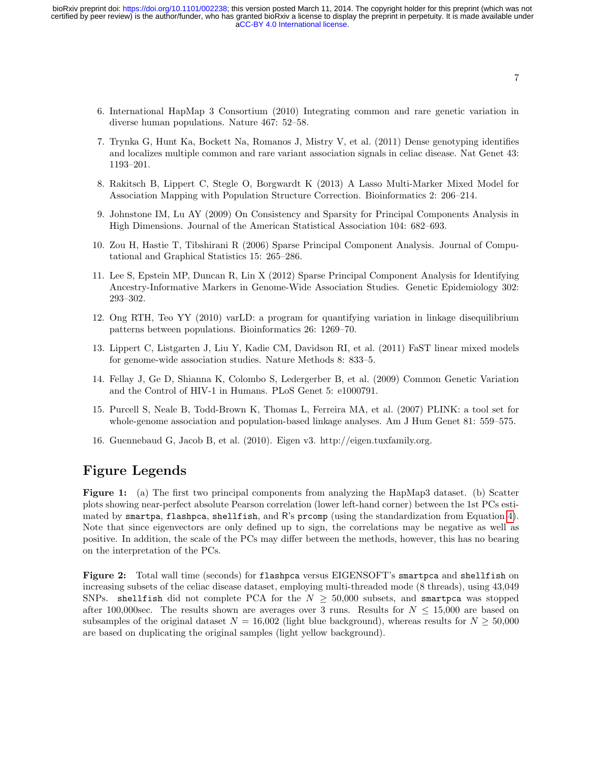- <span id="page-6-0"></span>6. International HapMap 3 Consortium (2010) Integrating common and rare genetic variation in diverse human populations. Nature 467: 52–58.
- <span id="page-6-1"></span>7. Trynka G, Hunt Ka, Bockett Na, Romanos J, Mistry V, et al. (2011) Dense genotyping identifies and localizes multiple common and rare variant association signals in celiac disease. Nat Genet 43: 1193–201.
- <span id="page-6-2"></span>8. Rakitsch B, Lippert C, Stegle O, Borgwardt K (2013) A Lasso Multi-Marker Mixed Model for Association Mapping with Population Structure Correction. Bioinformatics 2: 206–214.
- <span id="page-6-3"></span>9. Johnstone IM, Lu AY (2009) On Consistency and Sparsity for Principal Components Analysis in High Dimensions. Journal of the American Statistical Association 104: 682–693.
- <span id="page-6-4"></span>10. Zou H, Hastie T, Tibshirani R (2006) Sparse Principal Component Analysis. Journal of Computational and Graphical Statistics 15: 265–286.
- <span id="page-6-5"></span>11. Lee S, Epstein MP, Duncan R, Lin X (2012) Sparse Principal Component Analysis for Identifying Ancestry-Informative Markers in Genome-Wide Association Studies. Genetic Epidemiology 302: 293–302.
- <span id="page-6-6"></span>12. Ong RTH, Teo YY (2010) varLD: a program for quantifying variation in linkage disequilibrium patterns between populations. Bioinformatics 26: 1269–70.
- <span id="page-6-7"></span>13. Lippert C, Listgarten J, Liu Y, Kadie CM, Davidson RI, et al. (2011) FaST linear mixed models for genome-wide association studies. Nature Methods 8: 833–5.
- <span id="page-6-8"></span>14. Fellay J, Ge D, Shianna K, Colombo S, Ledergerber B, et al. (2009) Common Genetic Variation and the Control of HIV-1 in Humans. PLoS Genet 5: e1000791.
- <span id="page-6-9"></span>15. Purcell S, Neale B, Todd-Brown K, Thomas L, Ferreira MA, et al. (2007) PLINK: a tool set for whole-genome association and population-based linkage analyses. Am J Hum Genet 81: 559–575.
- <span id="page-6-10"></span>16. Guennebaud G, Jacob B, et al. (2010). Eigen v3. http://eigen.tuxfamily.org.

# Figure Legends

Figure 1: (a) The first two principal components from analyzing the HapMap3 dataset. (b) Scatter plots showing near-perfect absolute Pearson correlation (lower left-hand corner) between the 1st PCs estimated by smartpa, flashpca, shellfish, and R's prcomp (using the standardization from Equation [4\)](#page-3-0). Note that since eigenvectors are only defined up to sign, the correlations may be negative as well as positive. In addition, the scale of the PCs may differ between the methods, however, this has no bearing on the interpretation of the PCs.

Figure 2: Total wall time (seconds) for flashpca versus EIGENSOFT's smartpca and shellfish on increasing subsets of the celiac disease dataset, employing multi-threaded mode (8 threads), using 43,049 SNPs. shellfish did not complete PCA for the  $N \geq 50,000$  subsets, and smartpca was stopped after 100,000sec. The results shown are averages over 3 runs. Results for  $N \le 15,000$  are based on subsamples of the original dataset  $N = 16,002$  (light blue background), whereas results for  $N \ge 50,000$ are based on duplicating the original samples (light yellow background).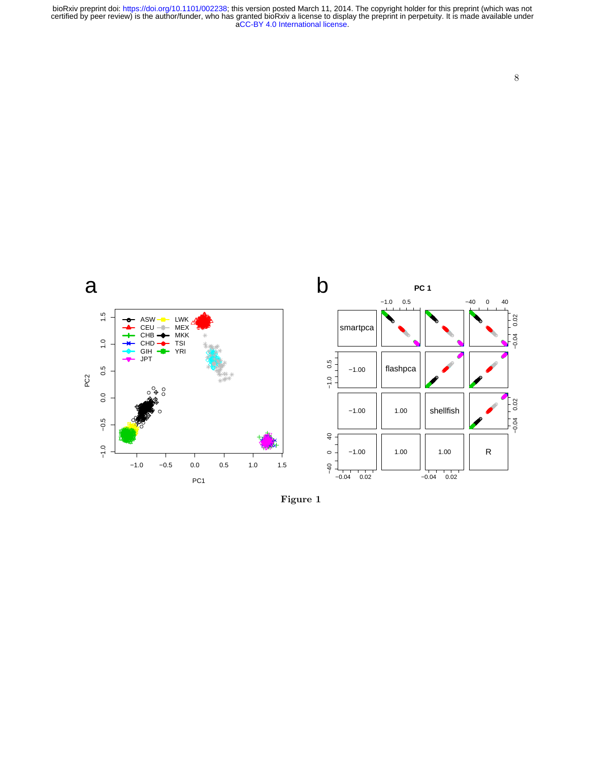bioRxiv preprint doi: https://doi.org/10.1101/002238; this version posted March 11, 2014. The copyright holder for this preprint (which was not certified by peer review) is the author/funder, who has granted bioRxiv a lice



 $-1.00$ 

 $-1.00$ 

 $0.02$ 

 $\overline{a}$ 

 $\circ$ 

 $-40$ 

 $-0.04$ 

 $1.00$ 

1.00

shellfish

1.00

 $-0.04$ 

 $0.02$ 

Figure 1

 $1.5$ 

a

 $1.5$ 

 $\ddot{0}$ 

 $0.5$ 

 $0.0$ 

 $-0.5$ 

 $-1.0$ 

 $-1.0$ 

 $-0.5$ 

 $0.0$ 

PC<sub>1</sub>

 $0.5\,$ 

 $1.0\,$ 

PC2

 $-0.04$ 

 $\overline{\mathsf{R}}$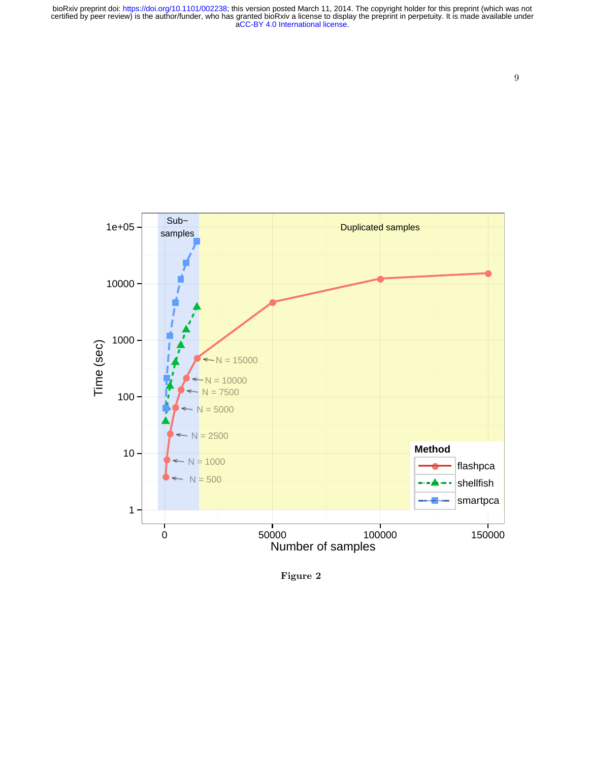



Figure 2